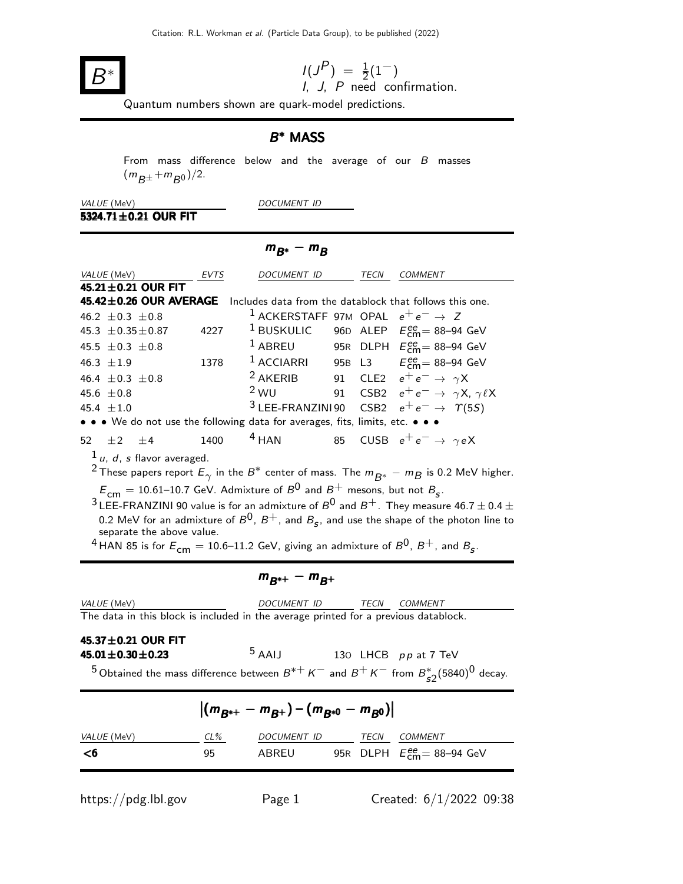

$$
I(J^P) = \frac{1}{2}(1^-)
$$

 $I(3) = \frac{1}{2}(1)$ <br>*I*, *J*, *P* need confirmation.

Quantum numbers shown are quark-model predictions.

## B<sup>\*</sup> MASS

From mass difference below and the average of our  $B$  masses  $(m_{B^{\pm}} + m_{B^0})/2.$ 

VALUE (MeV) DOCUMENT ID  $5324.71 \pm 0.21$  OUR FIT

## $m_{B^*} - m_B$

|                                                                                                                                                                                                                                                                                                                                                                                                                                                                                                                                                                                                                                                     | EVTS | DOCUMENT ID TECN COMMENT                                  |  |  |                                                                      |
|-----------------------------------------------------------------------------------------------------------------------------------------------------------------------------------------------------------------------------------------------------------------------------------------------------------------------------------------------------------------------------------------------------------------------------------------------------------------------------------------------------------------------------------------------------------------------------------------------------------------------------------------------------|------|-----------------------------------------------------------|--|--|----------------------------------------------------------------------|
| $\frac{VALUE (MeV)}{45.21 \pm 0.21}$ OUR FIT                                                                                                                                                                                                                                                                                                                                                                                                                                                                                                                                                                                                        |      |                                                           |  |  |                                                                      |
| 45.42±0.26 OUR AVERAGE                                                                                                                                                                                                                                                                                                                                                                                                                                                                                                                                                                                                                              |      |                                                           |  |  | Includes data from the datablock that follows this one.              |
| 46.2 $\pm$ 0.3 $\pm$ 0.8                                                                                                                                                                                                                                                                                                                                                                                                                                                                                                                                                                                                                            |      | $^1$ ACKERSTAFF 97M OPAL $e^+e^- \rightarrow Z$           |  |  |                                                                      |
| 45.3 $\pm$ 0.35 $\pm$ 0.87                                                                                                                                                                                                                                                                                                                                                                                                                                                                                                                                                                                                                          | 4227 |                                                           |  |  | <sup>1</sup> BUSKULIC 96D ALEP $E_{\text{cm}}^{ee}$ = 88–94 GeV      |
| 45.5 $\pm$ 0.3 $\pm$ 0.8                                                                                                                                                                                                                                                                                                                                                                                                                                                                                                                                                                                                                            |      |                                                           |  |  | <sup>1</sup> ABREU 95R DLPH $E_{\text{cm}}^{ee}$ = 88-94 GeV         |
| $46.3 + 1.9$                                                                                                                                                                                                                                                                                                                                                                                                                                                                                                                                                                                                                                        | 1378 |                                                           |  |  | <sup>1</sup> ACCIARRI 95B L3 $E_{\text{cm}}^{ee}$ = 88-94 GeV        |
| 46.4 $\pm$ 0.3 $\pm$ 0.8                                                                                                                                                                                                                                                                                                                                                                                                                                                                                                                                                                                                                            |      | <sup>2</sup> AKERIB 91 CLE2 $e^+e^- \rightarrow \gamma X$ |  |  |                                                                      |
| 45.6 $\pm 0.8$                                                                                                                                                                                                                                                                                                                                                                                                                                                                                                                                                                                                                                      |      |                                                           |  |  | <sup>2</sup> WU 91 CSB2 $e^+e^- \rightarrow \gamma X, \gamma \ell X$ |
| 45.4 $\pm 1.0$                                                                                                                                                                                                                                                                                                                                                                                                                                                                                                                                                                                                                                      |      |                                                           |  |  | <sup>3</sup> LEE-FRANZINI90 CSB2 $e^+e^- \rightarrow \gamma(55)$     |
| • • • We do not use the following data for averages, fits, limits, etc. • • •                                                                                                                                                                                                                                                                                                                                                                                                                                                                                                                                                                       |      |                                                           |  |  |                                                                      |
| 52 $\pm 2$ $\pm 4$                                                                                                                                                                                                                                                                                                                                                                                                                                                                                                                                                                                                                                  | 1400 | $4$ HAN                                                   |  |  | 85 CUSB $e^+e^- \rightarrow \gamma e X$                              |
| $\frac{1}{\mu}$ , d, s flavor averaged.<br><sup>2</sup> These papers report $E_\gamma$ in the $B^*$ center of mass. The $m_{\overline{B^*}} - m_B$ is 0.2 MeV higher.<br>$E_{\text{cm}} = 10.61$ –10.7 GeV. Admixture of $B^0$ and $B^+$ mesons, but not $B_s$ .<br>$3$ LEE-FRANZINI 90 value is for an admixture of $B^0$ and $B^+$ . They measure 46.7 $\pm$ 0.4 $\pm$<br>0.2 MeV for an admixture of ${\cal B}^0$ , ${\cal B}^+$ , and ${\cal B}_{_{\cal S}}$ , and use the shape of the photon line to<br>separate the above value.<br><sup>4</sup> HAN 85 is for $E_{cm} = 10.6$ –11.2 GeV, giving an admixture of $B^0$ , $B^+$ , and $B_s$ . |      |                                                           |  |  |                                                                      |
| $m_{R^{*+}} - m_{R^+}$                                                                                                                                                                                                                                                                                                                                                                                                                                                                                                                                                                                                                              |      |                                                           |  |  |                                                                      |
| VALUE (MeV)                                                                                                                                                                                                                                                                                                                                                                                                                                                                                                                                                                                                                                         |      | DOCUMENT ID TECN COMMENT                                  |  |  |                                                                      |
| The data in this block is included in the average printed for a previous datablock.                                                                                                                                                                                                                                                                                                                                                                                                                                                                                                                                                                 |      |                                                           |  |  |                                                                      |
| 45.37 $\pm$ 0.21 OUR FIT<br>$5$ AAIJ<br>130 LHCB pp at 7 TeV<br>$45.01 \pm 0.30 \pm 0.23$<br><sup>5</sup> Obtained the mass difference between $B^{*+}K^-$ and $B^+K^-$ from $B_{s2}^*(5840)^0$ decay.                                                                                                                                                                                                                                                                                                                                                                                                                                              |      |                                                           |  |  |                                                                      |
| $ (m_{B^{*+}} - m_{B^{+}}) - (m_{B^{*0}} - m_{B^{0}}) $                                                                                                                                                                                                                                                                                                                                                                                                                                                                                                                                                                                             |      |                                                           |  |  |                                                                      |

| VALUE (MeV) | $CL\%$ | <i>DOCUMENT ID</i> | TFCN | COMMENT                                          |
|-------------|--------|--------------------|------|--------------------------------------------------|
| <6          | 95.    | ABREU              |      | 95R DLPH $E_{\text{cm}}^{\text{ee}}$ = 88-94 GeV |